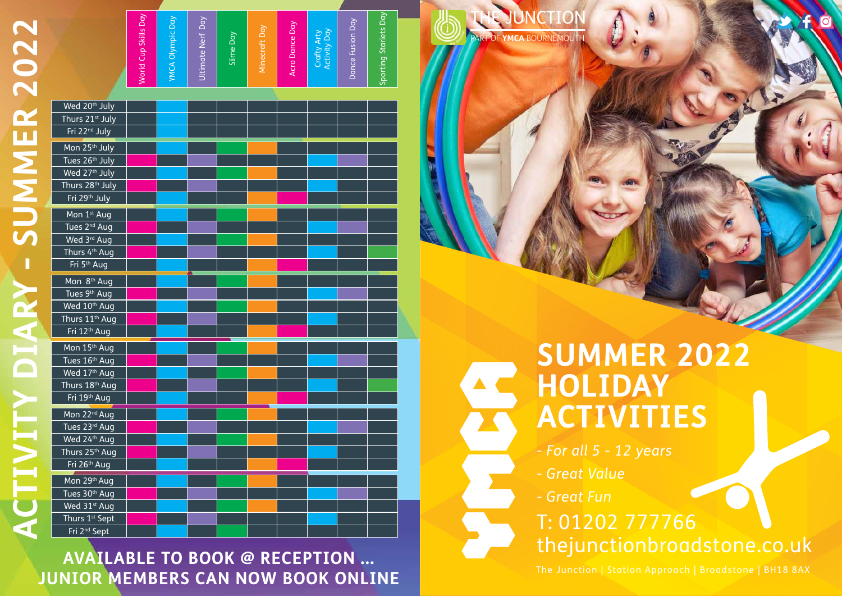|                             | World Cup Skills Day | <b>YMCA Olympic Day</b> | Ultimate Nerf Day | Slime Day | Minecraft Day | Acro Dance Day | Crafty Arty<br>Activity Day | Dance Fusion Day | Sporting Starlets Day |  |
|-----------------------------|----------------------|-------------------------|-------------------|-----------|---------------|----------------|-----------------------------|------------------|-----------------------|--|
| Wed 20 <sup>th</sup> July   |                      |                         |                   |           |               |                |                             |                  |                       |  |
| Thurs 21 <sup>st</sup> July |                      |                         |                   |           |               |                |                             |                  |                       |  |
| Fri 22 <sup>nd</sup> July   |                      |                         |                   |           |               |                |                             |                  |                       |  |
| Mon 25 <sup>th</sup> July   |                      |                         |                   |           |               |                |                             |                  |                       |  |
| Tues 26th July              |                      |                         |                   |           |               |                |                             |                  |                       |  |
| Wed 27 <sup>th</sup> July   |                      |                         |                   |           |               |                |                             |                  |                       |  |
| Thurs 28 <sup>th</sup> July |                      |                         |                   |           |               |                |                             |                  |                       |  |
| Fri 29th July               |                      |                         |                   |           |               |                |                             |                  |                       |  |
| Mon 1 <sup>st</sup> Aug     |                      |                         |                   |           |               |                |                             |                  |                       |  |
| Tues 2 <sup>nd</sup> Aug    |                      |                         |                   |           |               |                |                             |                  |                       |  |
| Wed 3rd Aug                 |                      |                         |                   |           |               |                |                             |                  |                       |  |
| Thurs 4 <sup>th</sup> Aug   |                      |                         |                   |           |               |                |                             |                  |                       |  |
| Fri <sup>5th</sup> Aug      |                      |                         |                   |           |               |                |                             |                  |                       |  |
| Mon 8 <sup>th</sup> Aug     |                      |                         |                   |           |               |                |                             |                  |                       |  |
| Tues 9 <sup>th</sup> Aug    |                      |                         |                   |           |               |                |                             |                  |                       |  |
| Wed 10 <sup>th</sup> Aug    |                      |                         |                   |           |               |                |                             |                  |                       |  |
| Thurs 11 <sup>th</sup> Aug  |                      |                         |                   |           |               |                |                             |                  |                       |  |
| Fri 12 <sup>th</sup> Aug    |                      |                         |                   |           |               |                |                             |                  |                       |  |
| Mon 15 <sup>th</sup> Aug    |                      |                         |                   |           |               |                |                             |                  |                       |  |
| Tues 16th Aug               |                      |                         |                   |           |               |                |                             |                  |                       |  |
| Wed 17th Aug                |                      |                         |                   |           |               |                |                             |                  |                       |  |
| Thurs 18th Aug              |                      |                         |                   |           |               |                |                             |                  |                       |  |
| Fri 19th Aug                |                      |                         |                   |           |               |                |                             |                  |                       |  |
| Mon 22 <sup>nd</sup> Aug    |                      |                         |                   |           |               |                |                             |                  |                       |  |
| Tues 23rd Aug               |                      |                         |                   |           |               |                |                             |                  |                       |  |
| Wed 24th Aug                |                      |                         |                   |           |               |                |                             |                  |                       |  |
| Thurs 25 <sup>th</sup> Aug  |                      |                         |                   |           |               |                |                             |                  |                       |  |
| Fri 26 <sup>th</sup> Aug    |                      |                         |                   |           |               |                |                             |                  |                       |  |
| Mon 29th Aug                |                      |                         |                   |           |               |                |                             |                  |                       |  |
| Tues 30th Aug               |                      |                         |                   |           |               |                |                             |                  |                       |  |
| Wed 31 <sup>st</sup> Aug    |                      |                         |                   |           |               |                |                             |                  |                       |  |
| Thurs 1 <sup>st</sup> Sept  |                      |                         |                   |           |               |                |                             |                  |                       |  |
| Fri 2 <sup>nd</sup> Sept    |                      |                         |                   |           |               |                |                             |                  |                       |  |



**te JUNCTION** 

T: 01202 777766 thejunctionbroadstone.co.uk

**summer 2022**

# **Holiday Activities**

- *For all 5 12 years*
- *Great Value*
- *Great Fun*

The Junction | Station Approach | Broadstone | BH18 8AX

**AVAILABLE TO BOOK @ RECEPTION ... junior members can now book ONLINE**